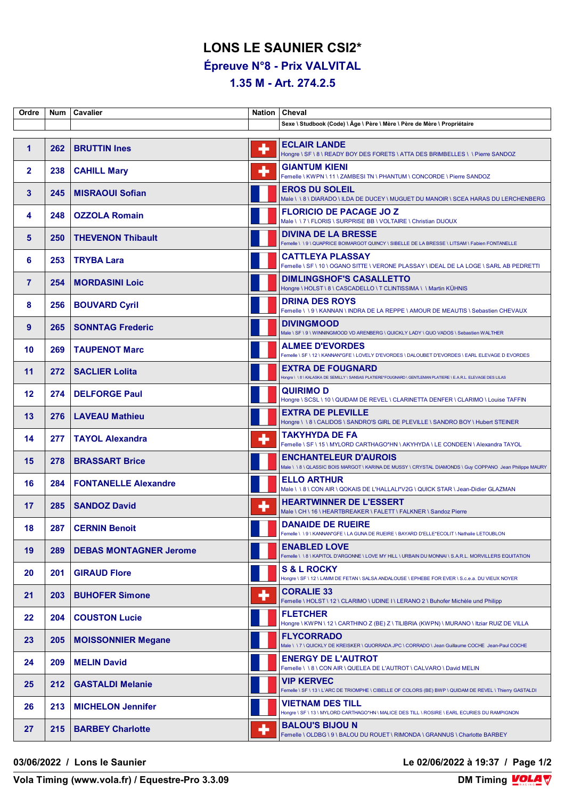## **LONS LE SAUNIER CSI2\***

**Épreuve N°8 - Prix VALVITAL**

## **1.35 M - Art. 274.2.5**

| Ordre        | Num | Cavalier                      | <b>Nation</b> | Cheval                                                                                                                                     |
|--------------|-----|-------------------------------|---------------|--------------------------------------------------------------------------------------------------------------------------------------------|
|              |     |                               |               | Sexe \ Studbook (Code) \ Âge \ Père \ Mère \ Père de Mère \ Propriétaire                                                                   |
| 1            | 262 | <b>BRUTTIN Ines</b>           | ٠             | <b>ECLAIR LANDE</b><br>Hongre \ SF \ 8 \ READY BOY DES FORETS \ ATTA DES BRIMBELLES \ \ Pierre SANDOZ                                      |
| $\mathbf{2}$ | 238 | <b>CAHILL Mary</b>            | ٠             | <b>GIANTUM KIENI</b><br>Femelle \ KWPN \ 11 \ ZAMBESI TN \ PHANTUM \ CONCORDE \ Pierre SANDOZ                                              |
| 3            | 245 | <b>MISRAOUI Sofian</b>        |               | <b>EROS DU SOLEIL</b><br>Male \ \ 8 \ DIARADO \ ILDA DE DUCEY \ MUGUET DU MANOIR \ SCEA HARAS DU LERCHENBERG                               |
| 4            | 248 | <b>OZZOLA Romain</b>          |               | <b>FLORICIO DE PACAGE JO Z</b><br>Male \\7\FLORIS\SURPRISE BB\VOLTAIRE\Christian DIJOUX                                                    |
| 5            | 250 | <b>THEVENON Thibault</b>      |               | <b>DIVINA DE LA BRESSE</b><br>Femelle \ \ 9 \ QUAPRICE BOIMARGOT QUINCY \ SIBELLE DE LA BRESSE \ LITSAM \ Fabien FONTANELLE                |
| 6            | 253 | <b>TRYBA Lara</b>             |               | <b>CATTLEYA PLASSAY</b><br>Femelle \ SF \ 10 \ OGANO SITTE \ VERONE PLASSAY \ IDEAL DE LA LOGE \ SARL AB PEDRETTI                          |
| $\mathbf{7}$ | 254 | <b>MORDASINI Loic</b>         |               | <b>DIMLINGSHOF'S CASALLETTO</b><br>Hongre \ HOLST \ 8 \ CASCADELLO \ T CLINTISSIMA \ \ Martin KÜHNIS                                       |
| 8            | 256 | <b>BOUVARD Cyril</b>          |               | <b>DRINA DES ROYS</b><br>Femelle \\9\KANNAN\INDRA DE LA REPPE \AMOUR DE MEAUTIS \ Sebastien CHEVAUX                                        |
| 9            | 265 | <b>SONNTAG Frederic</b>       |               | <b>DIVINGMOOD</b><br>Male \ SF \ 9 \ WINNINGMOOD VD ARENBERG \ QUICKLY LADY \ QUO VADOS \ Sebastien WALTHER                                |
| 10           | 269 | <b>TAUPENOT Marc</b>          |               | <b>ALMEE D'EVORDES</b><br>Femelle \SF \12 \KANNAN*GFE \LOVELY D'EVORDES \DALOUBET D'EVORDES \EARL ELEVAGE D EVORDES                        |
| 11           | 272 | <b>SACLIER Lolita</b>         |               | <b>EXTRA DE FOUGNARD</b><br>Hongre \ \ 8 \ KALASKA DE SEMILLY \ SANSAS PLATIERE*FOUGNARD \ GENTLEMAN PLATIERE \ E.A.R.L. ELEVAGE DES LILAS |
| 12           | 274 | <b>DELFORGE Paul</b>          |               | <b>QUIRIMOD</b><br>Hongre \ SCSL \ 10 \ QUIDAM DE REVEL \ CLARINETTA DENFER \ CLARIMO \ Louise TAFFIN                                      |
| 13           | 276 | <b>LAVEAU Mathieu</b>         |               | <b>EXTRA DE PLEVILLE</b><br>Hongre \\8\CALIDOS\SANDRO'S GIRL DE PLEVILLE \SANDRO BOY \ Hubert STEINER                                      |
| 14           | 277 | <b>TAYOL Alexandra</b>        |               | TAKYHYDA DE FA<br>Femelle \ SF \ 15 \ MYLORD CARTHAGO*HN \ AKYHYDA \ LE CONDEEN \ Alexandra TAYOL                                          |
| 15           | 278 | <b>BRASSART Brice</b>         |               | <b>ENCHANTELEUR D'AUROIS</b><br>Male \ \ 8 \ QLASSIC BOIS MARGOT \ KARINA DE MUSSY \ CRYSTAL DIAMONDS \ Guy COPPANO Jean Philippe MAURY    |
| 16           | 284 | <b>FONTANELLE Alexandre</b>   |               | <b>ELLO ARTHUR</b><br>Male \ \ 8 \ CON AIR \ QOKAIS DE L'HALLALI*V2G \ QUICK STAR \ Jean-Didier GLAZMAN                                    |
| 17           | 285 | <b>SANDOZ David</b>           | ٠             | <b>HEARTWINNER DE L'ESSERT</b><br>Male \ CH \ 16 \ HEARTBREAKER \ FALETT \ FALKNER \ Sandoz Pierre                                         |
| 18           | 287 | <b>CERNIN Benoit</b>          |               | <b>DANAIDE DE RUEIRE</b><br>Femelle \\9\KANNAN*GFE\LA GUNA DE RUEIRE\BAYARD D'ELLE*ECOLIT\Nathalie LETOUBLON                               |
| 19           | 289 | <b>DEBAS MONTAGNER Jerome</b> |               | <b>ENABLED LOVE</b><br>Femelle \ \ 8 \ KAPITOL D'ARGONNE \ LOVE MY HILL \ URBAIN DU MONNAI \ S.A.R.L. MORVILLERS EQUITATION                |
| 20           | 201 | <b>GIRAUD Flore</b>           |               | <b>S &amp; L ROCKY</b><br>Hongre \ SF \ 12 \ LAMM DE FETAN \ SALSA ANDALOUSE \ EPHEBE FOR EVER \ S.c.e.a. DU VIEUX NOYER                   |
| 21           | 203 | <b>BUHOFER Simone</b>         | ٠             | <b>CORALIE 33</b><br>Femelle \ HOLST \ 12 \ CLARIMO \ UDINE I \ LERANO 2 \ Buhofer Michèle und Philipp                                     |
| 22           | 204 | <b>COUSTON Lucie</b>          |               | <b>FLETCHER</b><br>Hongre \ KWPN \ 12 \ CARTHINO Z (BE) Z \ TILIBRIA (KWPN) \ MURANO \ Itziar RUIZ DE VILLA                                |
| 23           | 205 | <b>MOISSONNIER Megane</b>     |               | <b>FLYCORRADO</b><br>Male \ \ 7 \ QUICKLY DE KREISKER \ QUORRADA JPC \ CORRADO \ Jean Guillaume COCHE Jean-Paul COCHE                      |
| 24           | 209 | <b>MELIN David</b>            |               | <b>ENERGY DE L'AUTROT</b><br>Femelle \ \ 8 \ CON AIR \ QUELEA DE L'AUTROT \ CALVARO \ David MELIN                                          |
| 25           | 212 | <b>GASTALDI Melanie</b>       |               | <b>VIP KERVEC</b><br>Femelle \ SF \ 13 \ L'ARC DE TRIOMPHE \ CIBELLE OF COLORS (BE) BWP \ QUIDAM DE REVEL \ Thierry GASTALDI               |
| 26           | 213 | <b>MICHELON Jennifer</b>      |               | VIETNAM DES TILL<br>Hongre \ SF \ 13 \ MYLORD CARTHAGO*HN \ MALICE DES TILL \ ROSIRE \ EARL ECURIES DU RAMPIGNON                           |
| 27           | 215 | <b>BARBEY Charlotte</b>       | ۰             | <b>BALOU'S BIJOU N</b><br>Femelle \ OLDBG \ 9 \ BALOU DU ROUET \ RIMONDA \ GRANNUS \ Charlotte BARBEY                                      |

**03/06/2022 / Lons le Saunier Le 02/06/2022 à 19:37 / Page 1/2**

**Vola Timing (www.vola.fr) / Equestre-Pro 3.3.09**